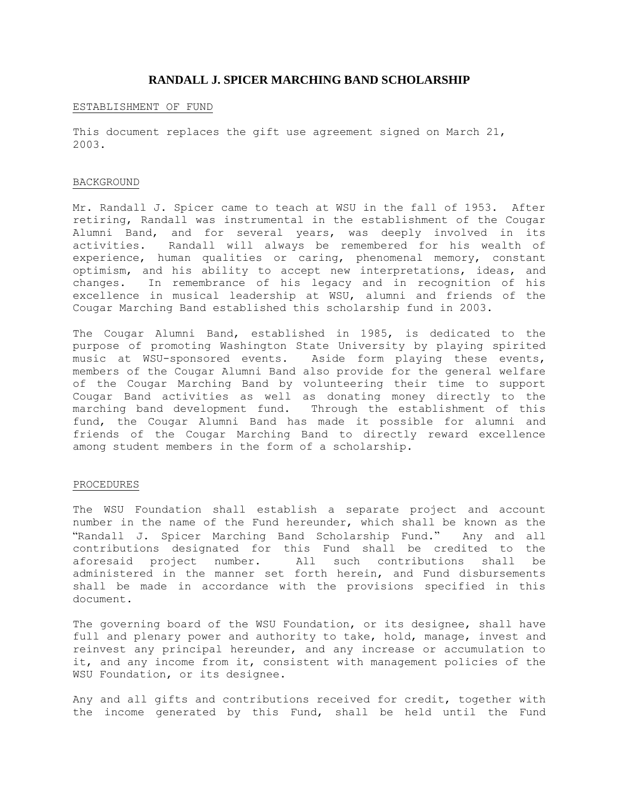# **RANDALL J. SPICER MARCHING BAND SCHOLARSHIP**

### ESTABLISHMENT OF FUND

This document replaces the gift use agreement signed on March 21, 2003.

## BACKGROUND

Mr. Randall J. Spicer came to teach at WSU in the fall of 1953. After retiring, Randall was instrumental in the establishment of the Cougar Alumni Band, and for several years, was deeply involved in its activities. Randall will always be remembered for his wealth of experience, human qualities or caring, phenomenal memory, constant optimism, and his ability to accept new interpretations, ideas, and changes. In remembrance of his legacy and in recognition of his excellence in musical leadership at WSU, alumni and friends of the Cougar Marching Band established this scholarship fund in 2003.

The Cougar Alumni Band, established in 1985, is dedicated to the purpose of promoting Washington State University by playing spirited music at WSU-sponsored events. Aside form playing these events, members of the Cougar Alumni Band also provide for the general welfare of the Cougar Marching Band by volunteering their time to support Cougar Band activities as well as donating money directly to the marching band development fund. Through the establishment of this fund, the Cougar Alumni Band has made it possible for alumni and friends of the Cougar Marching Band to directly reward excellence among student members in the form of a scholarship.

### PROCEDURES

The WSU Foundation shall establish a separate project and account number in the name of the Fund hereunder, which shall be known as the "Randall J. Spicer Marching Band Scholarship Fund." Any and all contributions designated for this Fund shall be credited to the aforesaid project number. All such contributions shall be administered in the manner set forth herein, and Fund disbursements shall be made in accordance with the provisions specified in this document.

The governing board of the WSU Foundation, or its designee, shall have full and plenary power and authority to take, hold, manage, invest and reinvest any principal hereunder, and any increase or accumulation to it, and any income from it, consistent with management policies of the WSU Foundation, or its designee.

Any and all gifts and contributions received for credit, together with the income generated by this Fund, shall be held until the Fund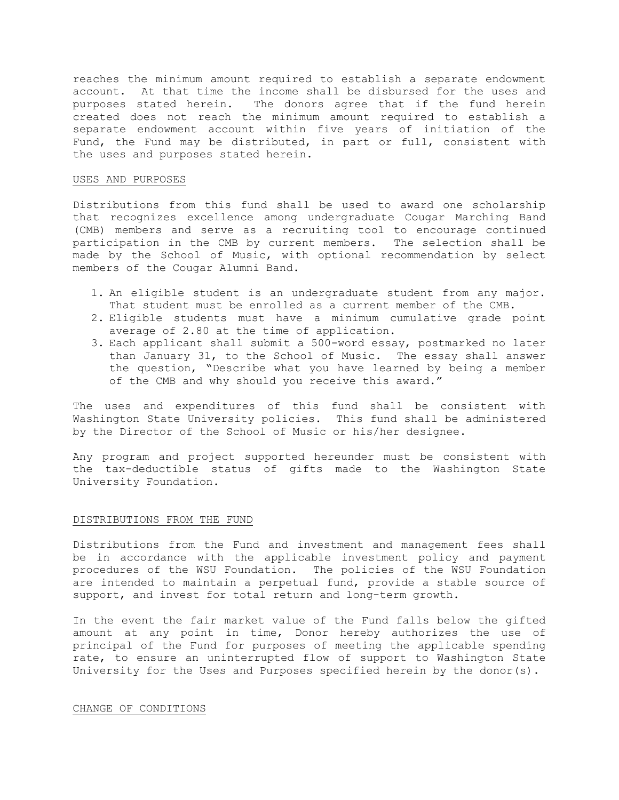reaches the minimum amount required to establish a separate endowment account. At that time the income shall be disbursed for the uses and purposes stated herein. The donors agree that if the fund herein created does not reach the minimum amount required to establish a separate endowment account within five years of initiation of the Fund, the Fund may be distributed, in part or full, consistent with the uses and purposes stated herein.

## USES AND PURPOSES

Distributions from this fund shall be used to award one scholarship that recognizes excellence among undergraduate Cougar Marching Band (CMB) members and serve as a recruiting tool to encourage continued participation in the CMB by current members. The selection shall be made by the School of Music, with optional recommendation by select members of the Cougar Alumni Band.

- 1. An eligible student is an undergraduate student from any major. That student must be enrolled as a current member of the CMB.
- 2. Eligible students must have a minimum cumulative grade point average of 2.80 at the time of application.
- 3. Each applicant shall submit a 500-word essay, postmarked no later than January 31, to the School of Music. The essay shall answer the question, "Describe what you have learned by being a member of the CMB and why should you receive this award."

The uses and expenditures of this fund shall be consistent with Washington State University policies. This fund shall be administered by the Director of the School of Music or his/her designee.

Any program and project supported hereunder must be consistent with the tax-deductible status of gifts made to the Washington State University Foundation.

### DISTRIBUTIONS FROM THE FUND

Distributions from the Fund and investment and management fees shall be in accordance with the applicable investment policy and payment procedures of the WSU Foundation. The policies of the WSU Foundation are intended to maintain a perpetual fund, provide a stable source of support, and invest for total return and long-term growth.

In the event the fair market value of the Fund falls below the gifted amount at any point in time, Donor hereby authorizes the use of principal of the Fund for purposes of meeting the applicable spending rate, to ensure an uninterrupted flow of support to Washington State University for the Uses and Purposes specified herein by the donor(s).

### CHANGE OF CONDITIONS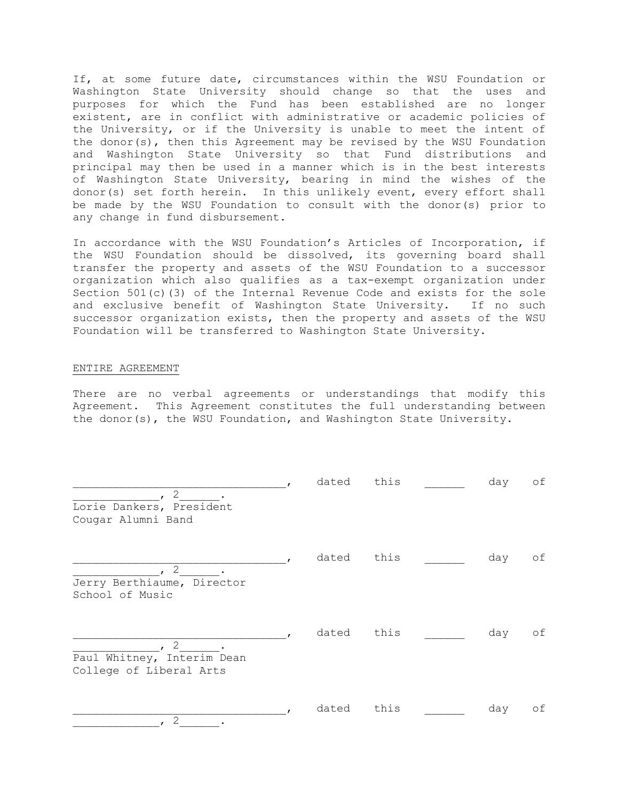If, at some future date, circumstances within the WSU Foundation or Washington State University should change so that the uses and purposes for which the Fund has been established are no longer existent, are in conflict with administrative or academic policies of the University, or if the University is unable to meet the intent of the donor(s), then this Agreement may be revised by the WSU Foundation and Washington State University so that Fund distributions and principal may then be used in a manner which is in the best interests of Washington State University, bearing in mind the wishes of the donor(s) set forth herein. In this unlikely event, every effort shall be made by the WSU Foundation to consult with the donor(s) prior to any change in fund disbursement.

In accordance with the WSU Foundation's Articles of Incorporation, if the WSU Foundation should be dissolved, its governing board shall transfer the property and assets of the WSU Foundation to a successor organization which also qualifies as a tax-exempt organization under Section 501(c)(3) of the Internal Revenue Code and exists for the sole and exclusive benefit of Washington State University. If no such successor organization exists, then the property and assets of the WSU Foundation will be transferred to Washington State University.

### ENTIRE AGREEMENT

There are no verbal agreements or understandings that modify this Agreement. This Agreement constitutes the full understanding between the donor(s), the WSU Foundation, and Washington State University.

| $\overline{2}$                                             | dated | this | day | оf |
|------------------------------------------------------------|-------|------|-----|----|
| Lorie Dankers, President<br>Cougar Alumni Band             |       |      |     |    |
| 2<br>Jerry Berthiaume, Director<br>School of Music         | dated | this | day | оf |
| 2<br>Paul Whitney, Interim Dean<br>College of Liberal Arts | dated | this | day | оf |
| 2                                                          | dated | this | day | оf |